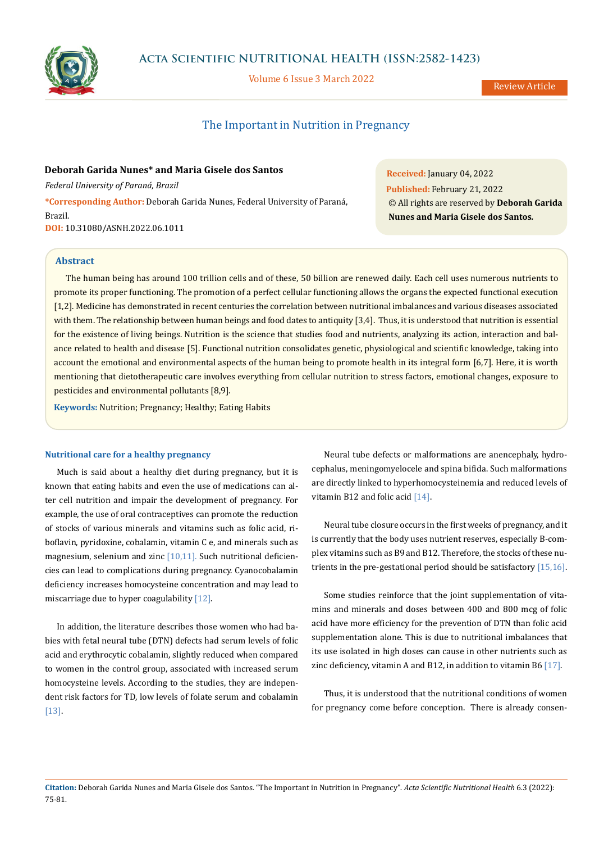

# **Acta Scientific NUTRITIONAL HEALTH (ISSN:2582-1423)**

Volume 6 Issue 3 March 2022

Review Article

# The Important in Nutrition in Pregnancy

**Deborah Garida Nunes\* and Maria Gisele dos Santos** *Federal University of Paraná, Brazil* **\*Corresponding Author:** Deborah Garida Nunes, Federal University of Paraná, Brazil.

**DOI:** [10.31080/ASNH.2022.06.1011](https://actascientific.com/ASNH/pdf/ASNH-06-1011.pdf)

**Received:** January 04, 2022 **Published:** February 21, 2022 © All rights are reserved by **Deborah Garida Nunes and Maria Gisele dos Santos***.*

## **Abstract**

The human being has around 100 trillion cells and of these, 50 billion are renewed daily. Each cell uses numerous nutrients to promote its proper functioning. The promotion of a perfect cellular functioning allows the organs the expected functional execution [1,2]. Medicine has demonstrated in recent centuries the correlation between nutritional imbalances and various diseases associated with them. The relationship between human beings and food dates to antiquity [3,4]. Thus, it is understood that nutrition is essential for the existence of living beings. Nutrition is the science that studies food and nutrients, analyzing its action, interaction and balance related to health and disease [5]. Functional nutrition consolidates genetic, physiological and scientific knowledge, taking into account the emotional and environmental aspects of the human being to promote health in its integral form [6,7]. Here, it is worth mentioning that dietotherapeutic care involves everything from cellular nutrition to stress factors, emotional changes, exposure to pesticides and environmental pollutants [8,9].

**Keywords:** Nutrition; Pregnancy; Healthy; Eating Habits

#### **Nutritional care for a healthy pregnancy**

Much is said about a healthy diet during pregnancy, but it is known that eating habits and even the use of medications can alter cell nutrition and impair the development of pregnancy. For example, the use of oral contraceptives can promote the reduction of stocks of various minerals and vitamins such as folic acid, riboflavin, pyridoxine, cobalamin, vitamin C e, and minerals such as magnesium, selenium and zinc [10,11]. Such nutritional deficiencies can lead to complications during pregnancy. Cyanocobalamin deficiency increases homocysteine concentration and may lead to miscarriage due to hyper coagulability [12].

In addition, the literature describes those women who had babies with fetal neural tube (DTN) defects had serum levels of folic acid and erythrocytic cobalamin, slightly reduced when compared to women in the control group, associated with increased serum homocysteine levels. According to the studies, they are independent risk factors for TD, low levels of folate serum and cobalamin [13].

Neural tube defects or malformations are anencephaly, hydrocephalus, meningomyelocele and spina bifida. Such malformations are directly linked to hyperhomocysteinemia and reduced levels of vitamin B12 and folic acid [14].

Neural tube closure occurs in the first weeks of pregnancy, and it is currently that the body uses nutrient reserves, especially B-complex vitamins such as B9 and B12. Therefore, the stocks of these nutrients in the pre-gestational period should be satisfactory [15,16].

Some studies reinforce that the joint supplementation of vitamins and minerals and doses between 400 and 800 mcg of folic acid have more efficiency for the prevention of DTN than folic acid supplementation alone. This is due to nutritional imbalances that its use isolated in high doses can cause in other nutrients such as zinc deficiency, vitamin A and B12, in addition to vitamin B6 [17].

Thus, it is understood that the nutritional conditions of women for pregnancy come before conception. There is already consen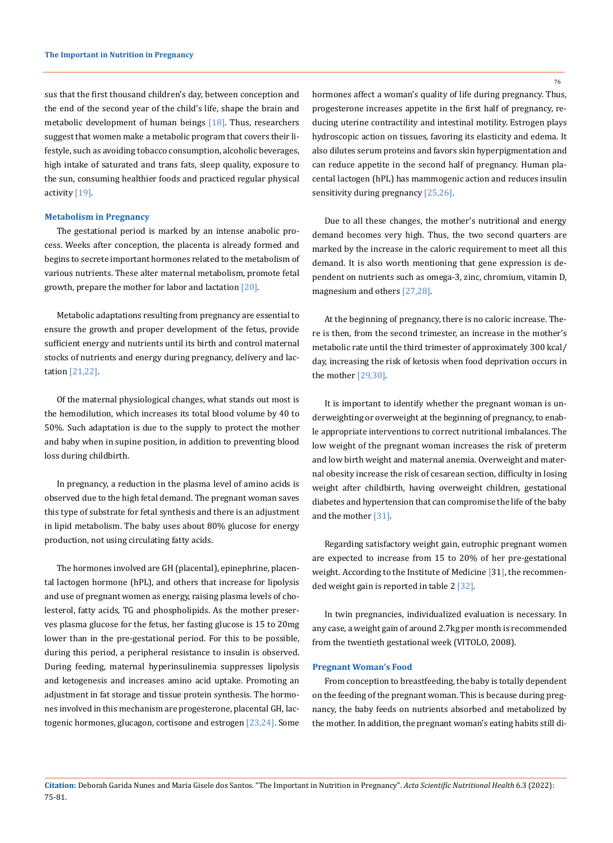sus that the first thousand children's day, between conception and the end of the second year of the child's life, shape the brain and metabolic development of human beings  $[18]$ . Thus, researchers suggest that women make a metabolic program that covers their lifestyle, such as avoiding tobacco consumption, alcoholic beverages, high intake of saturated and trans fats, sleep quality, exposure to the sun, consuming healthier foods and practiced regular physical activity [19].

#### **Metabolism in Pregnancy**

The gestational period is marked by an intense anabolic process. Weeks after conception, the placenta is already formed and begins to secrete important hormones related to the metabolism of various nutrients. These alter maternal metabolism, promote fetal growth, prepare the mother for labor and lactation [20].

Metabolic adaptations resulting from pregnancy are essential to ensure the growth and proper development of the fetus, provide sufficient energy and nutrients until its birth and control maternal stocks of nutrients and energy during pregnancy, delivery and lactation [21,22].

Of the maternal physiological changes, what stands out most is the hemodilution, which increases its total blood volume by 40 to 50%. Such adaptation is due to the supply to protect the mother and baby when in supine position, in addition to preventing blood loss during childbirth.

In pregnancy, a reduction in the plasma level of amino acids is observed due to the high fetal demand. The pregnant woman saves this type of substrate for fetal synthesis and there is an adjustment in lipid metabolism. The baby uses about 80% glucose for energy production, not using circulating fatty acids.

The hormones involved are GH (placental), epinephrine, placental lactogen hormone (hPL), and others that increase for lipolysis and use of pregnant women as energy, raising plasma levels of cholesterol, fatty acids, TG and phospholipids. As the mother preserves plasma glucose for the fetus, her fasting glucose is 15 to 20mg lower than in the pre-gestational period. For this to be possible, during this period, a peripheral resistance to insulin is observed. During feeding, maternal hyperinsulinemia suppresses lipolysis and ketogenesis and increases amino acid uptake. Promoting an adjustment in fat storage and tissue protein synthesis. The hormones involved in this mechanism are progesterone, placental GH, lactogenic hormones, glucagon, cortisone and estrogen [23,24]. Some hormones affect a woman's quality of life during pregnancy. Thus, progesterone increases appetite in the first half of pregnancy, reducing uterine contractility and intestinal motility. Estrogen plays hydroscopic action on tissues, favoring its elasticity and edema. It also dilutes serum proteins and favors skin hyperpigmentation and can reduce appetite in the second half of pregnancy. Human placental lactogen (hPL) has mammogenic action and reduces insulin sensitivity during pregnancy [25,26].

Due to all these changes, the mother's nutritional and energy demand becomes very high. Thus, the two second quarters are marked by the increase in the caloric requirement to meet all this demand. It is also worth mentioning that gene expression is dependent on nutrients such as omega-3, zinc, chromium, vitamin D, magnesium and others [27,28].

At the beginning of pregnancy, there is no caloric increase. There is then, from the second trimester, an increase in the mother's metabolic rate until the third trimester of approximately 300 kcal/ day, increasing the risk of ketosis when food deprivation occurs in the mother [29,30].

It is important to identify whether the pregnant woman is underweighting or overweight at the beginning of pregnancy, to enable appropriate interventions to correct nutritional imbalances. The low weight of the pregnant woman increases the risk of preterm and low birth weight and maternal anemia. Overweight and maternal obesity increase the risk of cesarean section, difficulty in losing weight after childbirth, having overweight children, gestational diabetes and hypertension that can compromise the life of the baby and the mother [31].

Regarding satisfactory weight gain, eutrophic pregnant women are expected to increase from 15 to 20% of her pre-gestational weight. According to the Institute of Medicine [31], the recommended weight gain is reported in table 2 [32].

In twin pregnancies, individualized evaluation is necessary. In any case, a weight gain of around 2.7kg per month is recommended from the twentieth gestational week (VITOLO, 2008).

## **Pregnant Woman's Food**

From conception to breastfeeding, the baby is totally dependent on the feeding of the pregnant woman. This is because during pregnancy, the baby feeds on nutrients absorbed and metabolized by the mother. In addition, the pregnant woman's eating habits still di-

**Citation:** Deborah Garida Nunes and Maria Gisele dos Santos*.* "The Important in Nutrition in Pregnancy". *Acta Scientific Nutritional Health* 6.3 (2022): 75-81.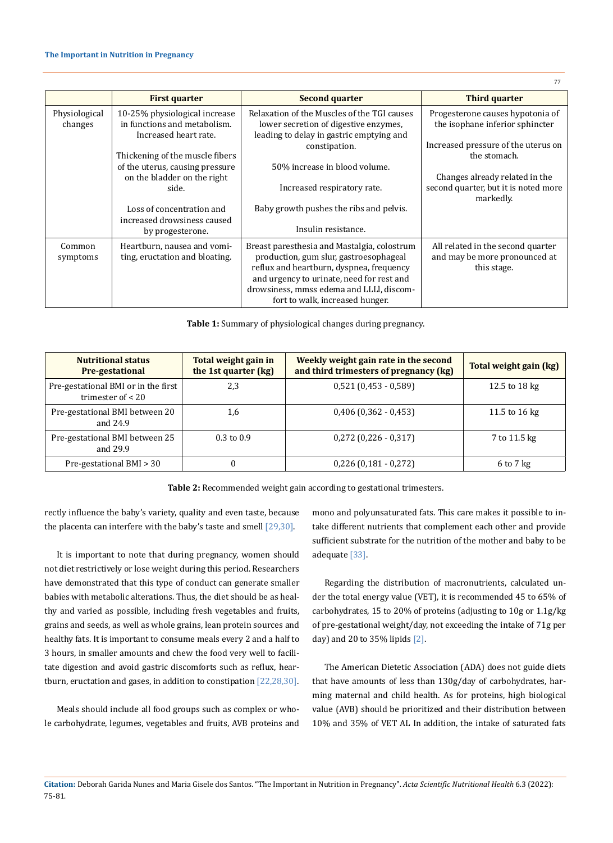|               | <b>First quarter</b>            | <b>Second quarter</b>                       | <b>Third quarter</b>                 |
|---------------|---------------------------------|---------------------------------------------|--------------------------------------|
| Physiological | 10-25% physiological increase   | Relaxation of the Muscles of the TGI causes | Progesterone causes hypotonia of     |
| changes       | in functions and metabolism.    | lower secretion of digestive enzymes,       | the isophane inferior sphincter      |
|               | Increased heart rate.           | leading to delay in gastric emptying and    |                                      |
|               |                                 | constipation.                               | Increased pressure of the uterus on  |
|               | Thickening of the muscle fibers |                                             | the stomach.                         |
|               | of the uterus, causing pressure | 50% increase in blood volume.               |                                      |
|               | on the bladder on the right     |                                             | Changes already related in the       |
|               | side.                           | Increased respiratory rate.                 | second quarter, but it is noted more |
|               | Loss of concentration and       | Baby growth pushes the ribs and pelvis.     | markedly.                            |
|               | increased drowsiness caused     |                                             |                                      |
|               | by progesterone.                | Insulin resistance.                         |                                      |
|               |                                 |                                             |                                      |
| Common        | Heartburn, nausea and vomi-     | Breast paresthesia and Mastalgia, colostrum | All related in the second quarter    |
| symptoms      | ting, eructation and bloating.  | production, gum slur, gastroesophageal      | and may be more pronounced at        |
|               |                                 | reflux and heartburn, dyspnea, frequency    | this stage.                          |
|               |                                 | and urgency to urinate, need for rest and   |                                      |
|               |                                 | drowsiness, mmss edema and LLLI, discom-    |                                      |
|               |                                 | fort to walk, increased hunger.             |                                      |

**Table 1:** Summary of physiological changes during pregnancy.

| <b>Nutritional status</b><br><b>Pre-gestational</b>        | Total weight gain in<br>the 1st quarter (kg) | Weekly weight gain rate in the second<br>and third trimesters of pregnancy (kg) | Total weight gain (kg)  |
|------------------------------------------------------------|----------------------------------------------|---------------------------------------------------------------------------------|-------------------------|
| Pre-gestational BMI or in the first<br>trimester of $< 20$ | 2,3                                          | $0,521(0,453-0,589)$                                                            | 12.5 to 18 $kg$         |
| Pre-gestational BMI between 20<br>and 24.9                 | 1,6                                          | $0,406$ (0,362 - 0,453)                                                         | 11.5 to $16 \text{ kg}$ |
| Pre-gestational BMI between 25<br>and 29.9                 | $0.3 \text{ to } 0.9$                        | $0,272$ (0,226 - 0,317)                                                         | 7 to 11.5 kg            |
| Pre-gestational BMI > 30                                   |                                              | $0,226$ (0,181 - 0,272)                                                         | $6$ to $7$ kg           |

**Table 2:** Recommended weight gain according to gestational trimesters.

rectly influence the baby's variety, quality and even taste, because the placenta can interfere with the baby's taste and smell [29,30].

It is important to note that during pregnancy, women should not diet restrictively or lose weight during this period. Researchers have demonstrated that this type of conduct can generate smaller babies with metabolic alterations. Thus, the diet should be as healthy and varied as possible, including fresh vegetables and fruits, grains and seeds, as well as whole grains, lean protein sources and healthy fats. It is important to consume meals every 2 and a half to 3 hours, in smaller amounts and chew the food very well to facilitate digestion and avoid gastric discomforts such as reflux, heartburn, eructation and gases, in addition to constipation [22,28,30].

Meals should include all food groups such as complex or whole carbohydrate, legumes, vegetables and fruits, AVB proteins and mono and polyunsaturated fats. This care makes it possible to intake different nutrients that complement each other and provide sufficient substrate for the nutrition of the mother and baby to be adequate [33].

Regarding the distribution of macronutrients, calculated under the total energy value (VET), it is recommended 45 to 65% of carbohydrates, 15 to 20% of proteins (adjusting to 10g or 1.1g/kg of pre-gestational weight/day, not exceeding the intake of 71g per day) and 20 to  $35\%$  lipids  $[2]$ .

The American Dietetic Association (ADA) does not guide diets that have amounts of less than 130g/day of carbohydrates, harming maternal and child health. As for proteins, high biological value (AVB) should be prioritized and their distribution between 10% and 35% of VET AL In addition, the intake of saturated fats

**Citation:** Deborah Garida Nunes and Maria Gisele dos Santos*.* "The Important in Nutrition in Pregnancy". *Acta Scientific Nutritional Health* 6.3 (2022): 75-81.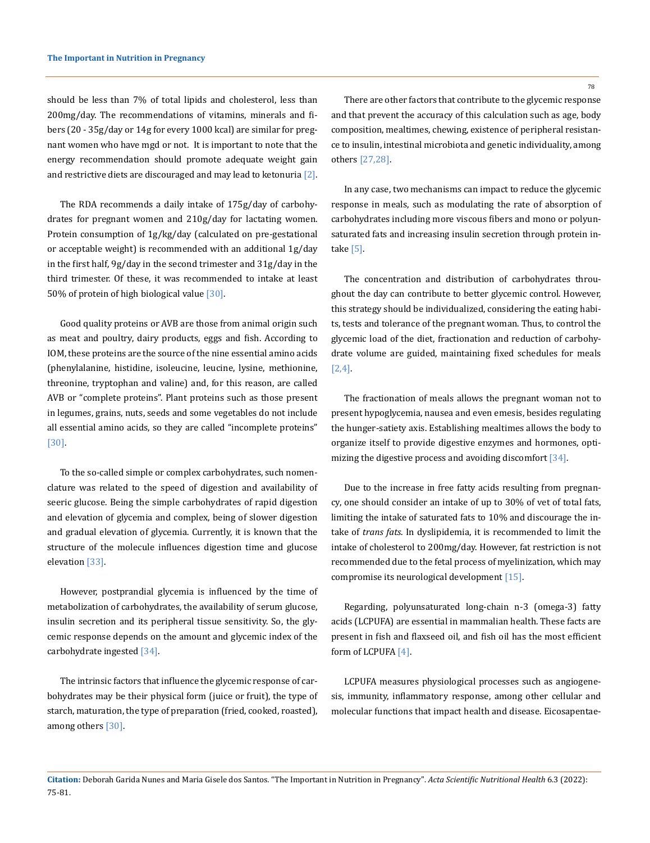should be less than 7% of total lipids and cholesterol, less than 200mg/day. The recommendations of vitamins, minerals and fibers (20 - 35g/day or 14g for every 1000 kcal) are similar for pregnant women who have mgd or not. It is important to note that the energy recommendation should promote adequate weight gain and restrictive diets are discouraged and may lead to ketonuria  $[2]$ .

The RDA recommends a daily intake of 175g/day of carbohydrates for pregnant women and 210g/day for lactating women. Protein consumption of 1g/kg/day (calculated on pre-gestational or acceptable weight) is recommended with an additional 1g/day in the first half, 9g/day in the second trimester and 31g/day in the third trimester. Of these, it was recommended to intake at least 50% of protein of high biological value [30].

Good quality proteins or AVB are those from animal origin such as meat and poultry, dairy products, eggs and fish. According to IOM, these proteins are the source of the nine essential amino acids (phenylalanine, histidine, isoleucine, leucine, lysine, methionine, threonine, tryptophan and valine) and, for this reason, are called AVB or "complete proteins". Plant proteins such as those present in legumes, grains, nuts, seeds and some vegetables do not include all essential amino acids, so they are called "incomplete proteins" [30].

To the so-called simple or complex carbohydrates, such nomenclature was related to the speed of digestion and availability of seeric glucose. Being the simple carbohydrates of rapid digestion and elevation of glycemia and complex, being of slower digestion and gradual elevation of glycemia. Currently, it is known that the structure of the molecule influences digestion time and glucose elevation [33].

However, postprandial glycemia is influenced by the time of metabolization of carbohydrates, the availability of serum glucose, insulin secretion and its peripheral tissue sensitivity. So, the glycemic response depends on the amount and glycemic index of the carbohydrate ingested [34].

The intrinsic factors that influence the glycemic response of carbohydrates may be their physical form (juice or fruit), the type of starch, maturation, the type of preparation (fried, cooked, roasted), among others [30].

There are other factors that contribute to the glycemic response and that prevent the accuracy of this calculation such as age, body composition, mealtimes, chewing, existence of peripheral resistance to insulin, intestinal microbiota and genetic individuality, among others [27,28].

In any case, two mechanisms can impact to reduce the glycemic response in meals, such as modulating the rate of absorption of carbohydrates including more viscous fibers and mono or polyunsaturated fats and increasing insulin secretion through protein intake [5].

The concentration and distribution of carbohydrates throughout the day can contribute to better glycemic control. However, this strategy should be individualized, considering the eating habits, tests and tolerance of the pregnant woman. Thus, to control the glycemic load of the diet, fractionation and reduction of carbohydrate volume are guided, maintaining fixed schedules for meals [2,4].

The fractionation of meals allows the pregnant woman not to present hypoglycemia, nausea and even emesis, besides regulating the hunger-satiety axis. Establishing mealtimes allows the body to organize itself to provide digestive enzymes and hormones, optimizing the digestive process and avoiding discomfort [34].

Due to the increase in free fatty acids resulting from pregnancy, one should consider an intake of up to 30% of vet of total fats, limiting the intake of saturated fats to 10% and discourage the intake of *trans fats*. In dyslipidemia, it is recommended to limit the intake of cholesterol to 200mg/day. However, fat restriction is not recommended due to the fetal process of myelinization, which may compromise its neurological development [15].

Regarding, polyunsaturated long-chain n-3 (omega-3) fatty acids (LCPUFA) are essential in mammalian health. These facts are present in fish and flaxseed oil, and fish oil has the most efficient form of LCPUFA [4].

LCPUFA measures physiological processes such as angiogenesis, immunity, inflammatory response, among other cellular and molecular functions that impact health and disease. Eicosapentae-

**Citation:** Deborah Garida Nunes and Maria Gisele dos Santos*.* "The Important in Nutrition in Pregnancy". *Acta Scientific Nutritional Health* 6.3 (2022): 75-81.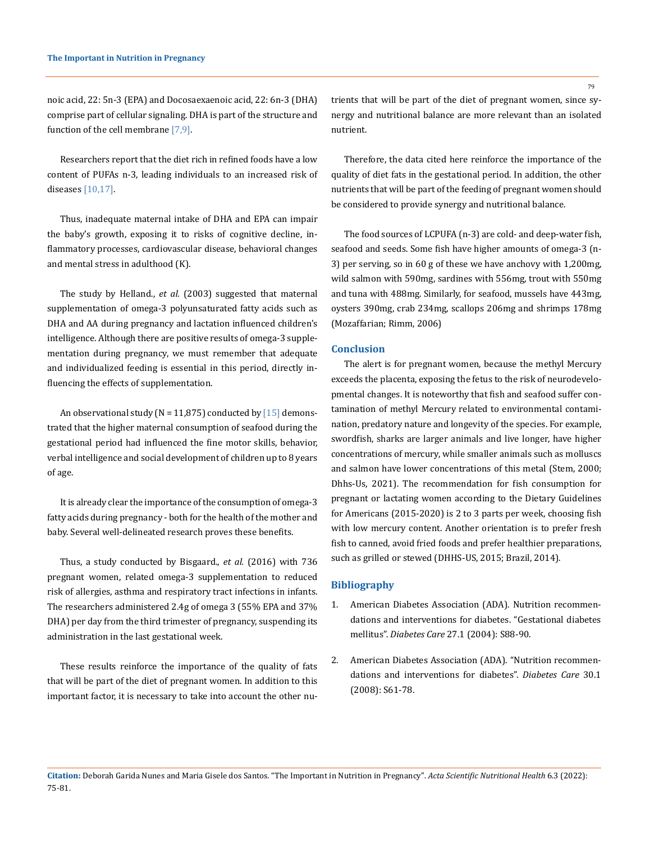noic acid, 22: 5n-3 (EPA) and Docosaexaenoic acid, 22: 6n-3 (DHA) comprise part of cellular signaling. DHA is part of the structure and function of the cell membrane [7,9].

Researchers report that the diet rich in refined foods have a low content of PUFAs n-3, leading individuals to an increased risk of diseases [10,17].

Thus, inadequate maternal intake of DHA and EPA can impair the baby's growth, exposing it to risks of cognitive decline, inflammatory processes, cardiovascular disease, behavioral changes and mental stress in adulthood (K).

The study by Helland., *et al.* (2003) suggested that maternal supplementation of omega-3 polyunsaturated fatty acids such as DHA and AA during pregnancy and lactation influenced children's intelligence. Although there are positive results of omega-3 supplementation during pregnancy, we must remember that adequate and individualized feeding is essential in this period, directly influencing the effects of supplementation.

An observational study ( $N = 11,875$ ) conducted by [15] demonstrated that the higher maternal consumption of seafood during the gestational period had influenced the fine motor skills, behavior, verbal intelligence and social development of children up to 8 years of age.

It is already clear the importance of the consumption of omega-3 fatty acids during pregnancy - both for the health of the mother and baby. Several well-delineated research proves these benefits.

Thus, a study conducted by Bisgaard., *et al.* (2016) with 736 pregnant women, related omega-3 supplementation to reduced risk of allergies, asthma and respiratory tract infections in infants. The researchers administered 2.4g of omega 3 (55% EPA and 37% DHA) per day from the third trimester of pregnancy, suspending its administration in the last gestational week.

These results reinforce the importance of the quality of fats that will be part of the diet of pregnant women. In addition to this important factor, it is necessary to take into account the other nutrients that will be part of the diet of pregnant women, since synergy and nutritional balance are more relevant than an isolated nutrient.

Therefore, the data cited here reinforce the importance of the quality of diet fats in the gestational period. In addition, the other nutrients that will be part of the feeding of pregnant women should be considered to provide synergy and nutritional balance.

The food sources of LCPUFA (n-3) are cold- and deep-water fish, seafood and seeds. Some fish have higher amounts of omega-3 (n-3) per serving, so in 60 g of these we have anchovy with 1,200mg, wild salmon with 590mg, sardines with 556mg, trout with 550mg and tuna with 488mg. Similarly, for seafood, mussels have 443mg, oysters 390mg, crab 234mg, scallops 206mg and shrimps 178mg (Mozaffarian; Rimm, 2006)

## **Conclusion**

The alert is for pregnant women, because the methyl Mercury exceeds the placenta, exposing the fetus to the risk of neurodevelopmental changes. It is noteworthy that fish and seafood suffer contamination of methyl Mercury related to environmental contamination, predatory nature and longevity of the species. For example, swordfish, sharks are larger animals and live longer, have higher concentrations of mercury, while smaller animals such as molluscs and salmon have lower concentrations of this metal (Stem, 2000; Dhhs-Us, 2021). The recommendation for fish consumption for pregnant or lactating women according to the Dietary Guidelines for Americans (2015-2020) is 2 to 3 parts per week, choosing fish with low mercury content. Another orientation is to prefer fresh fish to canned, avoid fried foods and prefer healthier preparations, such as grilled or stewed (DHHS-US, 2015; Brazil, 2014).

## **Bibliography**

- 1. [American Diabetes Association \(ADA\). Nutrition recommen](https://pubmed.ncbi.nlm.nih.gov/14693936/)[dations and interventions for diabetes. "Gestational diabetes](https://pubmed.ncbi.nlm.nih.gov/14693936/)  mellitus". *Diabetes Care* [27.1 \(2004\): S88-90.](https://pubmed.ncbi.nlm.nih.gov/14693936/)
- 2. [American Diabetes Association \(ADA\). "Nutrition recommen](https://pubmed.ncbi.nlm.nih.gov/18165339/)[dations and interventions for diabetes".](https://pubmed.ncbi.nlm.nih.gov/18165339/) *Diabetes Care* 30.1 [\(2008\): S61-78.](https://pubmed.ncbi.nlm.nih.gov/18165339/)

**Citation:** Deborah Garida Nunes and Maria Gisele dos Santos*.* "The Important in Nutrition in Pregnancy". *Acta Scientific Nutritional Health* 6.3 (2022): 75-81.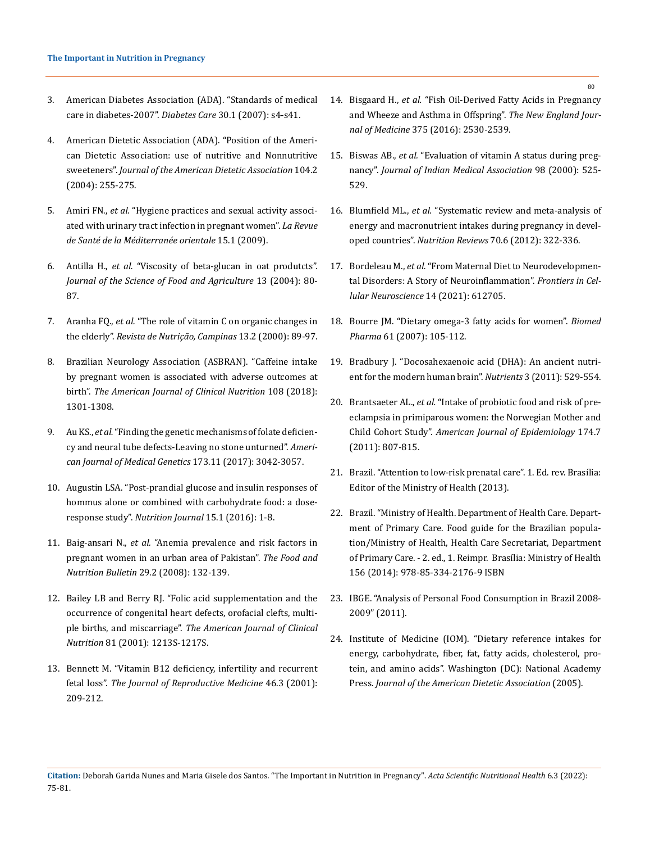- 3. [American Diabetes Association \(ADA\). "Standards of medical](https://pubmed.ncbi.nlm.nih.gov/17192377/)  [care in diabetes-2007".](https://pubmed.ncbi.nlm.nih.gov/17192377/) *Diabetes Care* 30.1 (2007): s4-s41.
- 4. [American Dietetic Association \(ADA\). "Position of the Ameri](https://pubmed.ncbi.nlm.nih.gov/14760578/)[can Dietetic Association: use of nutritive and Nonnutritive](https://pubmed.ncbi.nlm.nih.gov/14760578/)  sweeteners". *[Journal of the American Dietetic Association](https://pubmed.ncbi.nlm.nih.gov/14760578/)* 104.2 [\(2004\): 255-275.](https://pubmed.ncbi.nlm.nih.gov/14760578/)
- 5. Amiri FN., *et al.* ["Hygiene practices and sexual activity associ](https://pubmed.ncbi.nlm.nih.gov/19469432/)[ated with urinary tract infection in pregnant women".](https://pubmed.ncbi.nlm.nih.gov/19469432/) *La Revue [de Santé de la Méditerranée orientale](https://pubmed.ncbi.nlm.nih.gov/19469432/)* 15.1 (2009).
- 6. Antilla H., *et al.* ["Viscosity of beta-glucan in oat produtcts".](https://www.researchgate.net/publication/276940331_Viscosity_of_beta-glucan_in_oat_products)  *[Journal of the Science of Food and Agriculture](https://www.researchgate.net/publication/276940331_Viscosity_of_beta-glucan_in_oat_products)* 13 (2004): 80- [87.](https://www.researchgate.net/publication/276940331_Viscosity_of_beta-glucan_in_oat_products)
- 7. Aranha FQ., *et al.* "The role of vitamin C on organic changes in the elderly". *Revista de Nutrição, Campinas* 13.2 (2000): 89-97.
- 8. Brazilian Neurology Association (ASBRAN). "Caffeine intake by pregnant women is associated with adverse outcomes at birth". *The American Journal of Clinical Nutrition* 108 (2018): 1301-1308.
- 9. Au KS., *et al.* ["Finding the genetic mechanisms of folate deficien](https://onlinelibrary.wiley.com/doi/10.1002/ajmg.a.38478)[cy and neural tube defects-Leaving no stone unturned".](https://onlinelibrary.wiley.com/doi/10.1002/ajmg.a.38478) *Ameri[can Journal of Medical Genetics](https://onlinelibrary.wiley.com/doi/10.1002/ajmg.a.38478)* 173.11 (2017): 3042-3057.
- 10. [Augustin LSA. "Post-prandial glucose and insulin responses of](https://pubmed.ncbi.nlm.nih.gov/26818604/)  [hommus alone or combined with carbohydrate food: a dose](https://pubmed.ncbi.nlm.nih.gov/26818604/)response study". *[Nutrition Journal](https://pubmed.ncbi.nlm.nih.gov/26818604/)* 15.1 (2016): 1-8.
- 11. Baig-ansari N., *et al.* ["Anemia prevalence and risk factors in](https://pubmed.ncbi.nlm.nih.gov/18693477/)  [pregnant women in an urban area of Pakistan".](https://pubmed.ncbi.nlm.nih.gov/18693477/) *The Food and [Nutrition Bulletin](https://pubmed.ncbi.nlm.nih.gov/18693477/)* 29.2 (2008): 132-139.
- 12. [Bailey LB and Berry RJ. "Folic acid supplementation and the](https://pubmed.ncbi.nlm.nih.gov/15883454/)  [occurrence of congenital heart defects, orofacial clefts, multi](https://pubmed.ncbi.nlm.nih.gov/15883454/)ple births, and miscarriage". *[The American Journal of Clinical](https://pubmed.ncbi.nlm.nih.gov/15883454/)  Nutrition* 81 (2001): [1213S-1217S.](https://pubmed.ncbi.nlm.nih.gov/15883454/)
- 13. [Bennett M. "Vitamin B12 deficiency, infertility and recurrent](https://pubmed.ncbi.nlm.nih.gov/11304860/)  fetal loss". *The Journal of [Reproductive Medicine](https://pubmed.ncbi.nlm.nih.gov/11304860/)* 46.3 (2001): [209-212.](https://pubmed.ncbi.nlm.nih.gov/11304860/)
- 14. Bisgaard H., *et al.* ["Fish Oil-Derived Fatty Acids in Pregnancy](https://www.nejm.org/doi/full/10.1056/nejmoa1503734)  [and Wheeze and Asthma in Offspring".](https://www.nejm.org/doi/full/10.1056/nejmoa1503734) *The New England Journal of Medicine* [375 \(2016\): 2530-2539.](https://www.nejm.org/doi/full/10.1056/nejmoa1503734)
- 15. Biswas AB., *et al.* ["Evaluation of vitamin A status during preg](https://pubmed.ncbi.nlm.nih.gov/11291784/)nancy". *[Journal of Indian Medical Association](https://pubmed.ncbi.nlm.nih.gov/11291784/)* 98 (2000): 525- [529.](https://pubmed.ncbi.nlm.nih.gov/11291784/)
- 16. Blumfield ML., *et al.* ["Systematic review and meta-analysis of](https://pubmed.ncbi.nlm.nih.gov/22646126/)  [energy and macronutrient intakes during pregnancy in devel](https://pubmed.ncbi.nlm.nih.gov/22646126/)oped countries". *Nutrition Reviews* [70.6 \(2012\): 322-336.](https://pubmed.ncbi.nlm.nih.gov/22646126/)
- 17. Bordeleau M., *et al.* ["From Maternal Diet to Neurodevelopmen](https://pubmed.ncbi.nlm.nih.gov/33536875/)[tal Disorders: A Story of Neuroinflammation".](https://pubmed.ncbi.nlm.nih.gov/33536875/) *Frontiers in Cel[lular Neuroscience](https://pubmed.ncbi.nlm.nih.gov/33536875/)* 14 (2021): 612705.
- 18. [Bourre JM. "Dietary omega-3 fatty acids for women".](https://pubmed.ncbi.nlm.nih.gov/17254747/) *Biomed Pharma* [61 \(2007\): 105-112.](https://pubmed.ncbi.nlm.nih.gov/17254747/)
- 19. [Bradbury J. "Docosahexaenoic acid \(DHA\): An ancient nutri](https://pubmed.ncbi.nlm.nih.gov/22254110/)[ent for the modern human brain".](https://pubmed.ncbi.nlm.nih.gov/22254110/) *Nutrients* 3 (2011): 529-554.
- 20. Brantsaeter AL., *et al.* ["Intake of probiotic food and risk of pre](https://academic.oup.com/aje/article/174/7/807/116217)[eclampsia in primiparous women: the Norwegian Mother and](https://academic.oup.com/aje/article/174/7/807/116217)  Child Cohort Study". *[American Journal of Epidemiology](https://academic.oup.com/aje/article/174/7/807/116217)* 174.7 [\(2011\): 807-815.](https://academic.oup.com/aje/article/174/7/807/116217)
- 21. Brazil. "Attention to low-risk prenatal care". 1. Ed. rev. Brasília: Editor of the Ministry of Health (2013).
- 22. Brazil. "Ministry of Health. Department of Health Care. Department of Primary Care. Food guide for the Brazilian population/Ministry of Health, Health Care Secretariat, Department of Primary Care. - 2. ed., 1. Reimpr. Brasília: Ministry of Health 156 (2014): 978-85-334-2176-9 ISBN
- 23. IBGE. "Analysis of Personal Food Consumption in Brazil 2008- 2009" (2011).
- 24. [Institute of Medicine \(IOM\). "Dietary reference intakes for](https://pubmed.ncbi.nlm.nih.gov/12449285/)  [energy, carbohydrate, fiber, fat, fatty acids, cholesterol, pro](https://pubmed.ncbi.nlm.nih.gov/12449285/)[tein, and amino acids". Washington \(DC\): National Academy](https://pubmed.ncbi.nlm.nih.gov/12449285/)  Press. *[Journal of the American Dietetic Association](https://pubmed.ncbi.nlm.nih.gov/12449285/)* (2005).

**Citation:** Deborah Garida Nunes and Maria Gisele dos Santos*.* "The Important in Nutrition in Pregnancy". *Acta Scientific Nutritional Health* 6.3 (2022): 75-81.